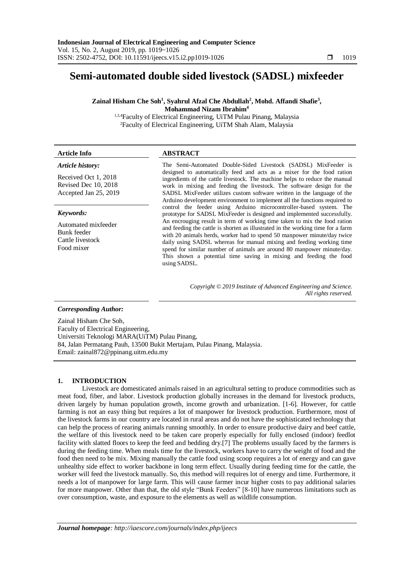# **Semi-automated double sided livestock (SADSL) mixfeeder**

**Zainal Hisham Che Soh<sup>1</sup> , Syahrul Afzal Che Abdullah<sup>2</sup> , Mohd. Affandi Shafie<sup>3</sup> , Mohammad Nizam Ibrahim<sup>4</sup>**

1,3,4Faculty of Electrical Engineering, UiTM Pulau Pinang, Malaysia <sup>2</sup>Faculty of Electrical Engineering, UiTM Shah Alam, Malaysia

# **Article Info ABSTRACT**

# *Article history:*

Received Oct 1, 2018 Revised Dec 10, 2018 Accepted Jan 25, 2019

#### *Keywords:*

Automated mixfeeder Bunk feeder Cattle livestock Food mixer

The Semi-Automated Double-Sided Livestock (SADSL) MixFeeder is designed to automatically feed and acts as a mixer for the food ration ingredients of the cattle livestock. The machine helps to reduce the manual work in mixing and feeding the livestock. The software design for the SADSL MixFeeder utilizes custom software written in the language of the Arduino development environment to implement all the functions required to control the feeder using Arduino microcontroller-based system. The prototype for SADSL MixFeeder is designed and implemented successfully. An encrouging result in term of working time taken to mix the food ration and feeding the cattle is shorten as illustrated in the working time for a farm with 20 animals herds, worker had to spend 50 manpower minute/day twice daily using SADSL whereas for manual mixing and feeding working time spend for similar number of animals are around 80 manpower minute/day. This shown a potential time saving in mixing and feeding the food using SADSL.

> *Copyright © 2019 Institute of Advanced Engineering and Science. All rights reserved.*

#### *Corresponding Author:*

Zainal Hisham Che Soh, Faculty of Electrical Engineering, Universiti Teknologi MARA(UiTM) Pulau Pinang, 84, Jalan Permatang Pauh, 13500 Bukit Mertajam, Pulau Pinang, Malaysia. Email: [zainal872@ppinang.uitm.edu.my](mailto:zainal872@ppinang.uitm.edu.my)

# **1. INTRODUCTION**

Livestock are domesticated animals raised in an agricultural setting to produce commodities such as meat food, fiber, and labor. Livestock production globally increases in the demand for livestock products, driven largely by human population growth, income growth and urbanization. [1-6]. However, for cattle farming is not an easy thing but requires a lot of manpower for livestock production. Furthermore, most of the livestock farms in our country are located in rural areas and do not have the sophisticated technology that can help the process of rearing animals running smoothly. In order to ensure productive dairy and beef cattle, the welfare of this livestock need to be taken care properly especially for fully enclosed (indoor) feedlot facility with slatted floors to keep the feed and bedding dry.[7] The problems usually faced by the farmers is during the feeding time. When meals time for the livestock, workers have to carry the weight of food and the food then need to be mix. Mixing manually the cattle food using scoop requires a lot of energy and can gave unhealthy side effect to worker backbone in long term effect. Usually during feeding time for the cattle, the worker will feed the livestock manually. So, this method will requires lot of energy and time. Furthermore, it needs a lot of manpower for large farm. This will cause farmer incur higher costs to pay additional salaries for more manpower. Other than that, the old style "Bunk Feeders" [8-10] have numerous limitations such as over consumption, waste, and exposure to the elements as well as wildlife consumption.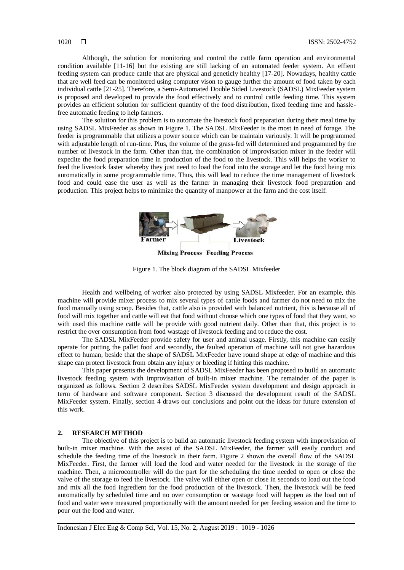Although, the solution for monitoring and control the cattle farm operation and environmental condition available [11-16] but the existing are still lacking of an automated feeder system. An effient feeding system can produce cattle that are physical and geneticly healthy [17-20]. Nowadays, healthy cattle that are well feed can be monitored using computer vison to gauge further the amount of food taken by each individual cattle [21-25]. Therefore, a Semi-Automated Double Sided Livestock (SADSL) MixFeeder system is proposed and developed to provide the food effectively and to control cattle feeding time. This system provides an efficient solution for sufficient quantity of the food distribution, fixed feeding time and hasslefree automatic feeding to help farmers.

The solution for this problem is to automate the livestock food preparation during their meal time by using SADSL MixFeeder as shown in Figure 1. The SADSL MixFeeder is the most in need of forage. The feeder is programmable that utilizes a power source which can be maintain variously. It will be programmed with adjustable length of run-time. Plus, the volume of the grass-fed will determined and programmed by the number of livestock in the farm. Other than that, the combination of improvisation mixer in the feeder will expedite the food preparation time in production of the food to the livestock. This will helps the worker to feed the livestock faster whereby they just need to load the food into the storage and let the food being mix automatically in some programmable time. Thus, this will lead to reduce the time management of livestock food and could ease the user as well as the farmer in managing their livestock food preparation and production. This project helps to minimize the quantity of manpower at the farm and the cost itself.



Figure 1. The block diagram of the SADSL Mixfeeder

Health and wellbeing of worker also protected by using SADSL Mixfeeder. For an example, this machine will provide mixer process to mix several types of cattle foods and farmer do not need to mix the food manually using scoop. Besides that, cattle also is provided with balanced nutrient, this is because all of food will mix together and cattle will eat that food without choose which one types of food that they want, so with used this machine cattle will be provide with good nutrient daily. Other than that, this project is to restrict the over consumption from food wastage of livestock feeding and to reduce the cost.

The SADSL MixFeeder provide safety for user and animal usage. Firstly, this machine can easily operate for putting the pallet food and secondly, the faulted operation of machine will not give hazardous effect to human, beside that the shape of SADSL MixFeeder have round shape at edge of machine and this shape can protect livestock from obtain any injury or bleeding if hitting this machine.

This paper presents the development of SADSL MixFeeder has been proposed to build an automatic livestock feeding system with improvisation of built-in mixer machine. The remainder of the paper is organized as follows. Section 2 describes SADSL MixFeeder system development and design approach in term of hardware and software component. Section 3 discussed the development result of the SADSL MixFeeder system. Finally, section 4 draws our conclusions and point out the ideas for future extension of this work.

# **2. RESEARCH METHOD**

The objective of this project is to build an automatic livestock feeding system with improvisation of built-in mixer machine. With the assist of the SADSL MixFeeder, the farmer will easily conduct and schedule the feeding time of the livestock in their farm. Figure 2 shown the overall flow of the SADSL MixFeeder. First, the farmer will load the food and water needed for the livestock in the storage of the machine. Then, a microcontroller will do the part for the scheduling the time needed to open or close the valve of the storage to feed the livestock. The valve will either open or close in seconds to load out the food and mix all the food ingredient for the food production of the livestock. Then, the livestock will be feed automatically by scheduled time and no over consumption or wastage food will happen as the load out of food and water were measured proportionally with the amount needed for per feeding session and the time to pour out the food and water.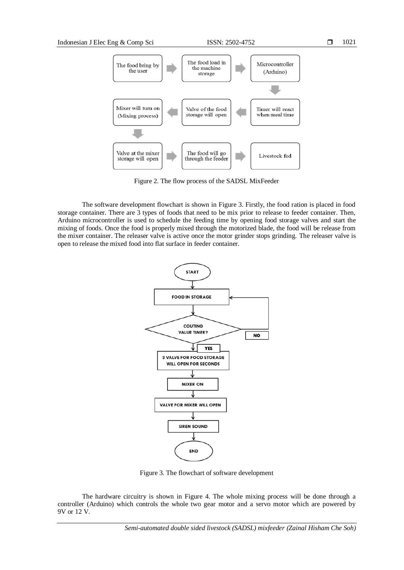

Figure 2. The flow process of the SADSL MixFeeder

The software development flowchart is shown in Figure 3. Firstly, the food ration is placed in food storage container. There are 3 types of foods that need to be mix prior to release to feeder container. Then, Arduino microcontroller is used to schedule the feeding time by opening food storage valves and start the mixing of foods. Once the food is properly mixed through the motorized blade, the food will be release from the mixer container. The releaser valve is active once the motor grinder stops grinding. The releaser valve is open to release the mixed food into flat surface in feeder container.



Figure 3. The flowchart of software development

The hardware circuitry is shown in Figure 4. The whole mixing process will be done through a controller (Arduino) which controls the whole two gear motor and a servo motor which are powered by 9V or 12 V.

*Semi-automated double sided livestock (SADSL) mixfeeder (Zainal Hisham Che Soh)*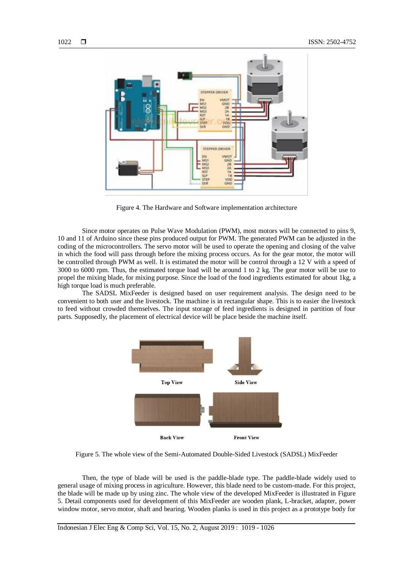

Figure 4. The Hardware and Software implementation architecture

Since motor operates on Pulse Wave Modulation (PWM), most motors will be connected to pins 9, 10 and 11 of Arduino since these pins produced output for PWM. The generated PWM can be adjusted in the coding of the microcontrollers. The servo motor will be used to operate the opening and closing of the valve in which the food will pass through before the mixing process occurs. As for the gear motor, the motor will be controlled through PWM as well. It is estimated the motor will be control through a 12 V with a speed of 3000 to 6000 rpm. Thus, the estimated torque load will be around 1 to 2 kg. The gear motor will be use to propel the mixing blade, for mixing purpose. Since the load of the food ingredients estimated for about 1kg, a high torque load is much preferable.

The SADSL MixFeeder is designed based on user requirement analysis. The design need to be convenient to both user and the livestock. The machine is in rectangular shape. This is to easier the livestock to feed without crowded themselves. The input storage of feed ingredients is designed in partition of four parts. Supposedly, the placement of electrical device will be place beside the machine itself.



Figure 5. The whole view of the Semi-Automated Double-Sided Livestock (SADSL) MixFeeder

Then, the type of blade will be used is the paddle-blade type. The paddle-blade widely used to general usage of mixing process in agriculture. However, this blade need to be custom-made. For this project, the blade will be made up by using zinc. The whole view of the developed MixFeeder is illustrated in Figure 5. Detail components used for development of this MixFeeder are wooden plank, L-bracket, adapter, power window motor, servo motor, shaft and bearing. Wooden planks is used in this project as a prototype body for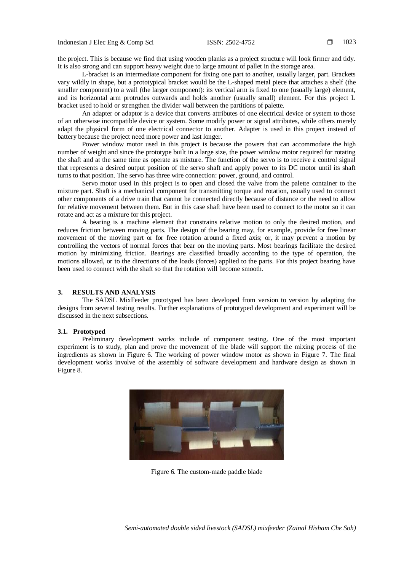the project. This is because we find that using wooden planks as a project structure will look firmer and tidy. It is also strong and can support heavy weight due to large amount of pallet in the storage area.

L-bracket is an intermediate component for fixing one part to another, usually larger, part. Brackets vary wildly in shape, but a prototypical bracket would be the L-shaped metal piece that attaches a shelf (the smaller component) to a wall (the larger component): its vertical arm is fixed to one (usually large) element, and its horizontal arm protrudes outwards and holds another (usually small) element. For this project L bracket used to hold or strengthen the divider wall between the partitions of palette.

An adapter or adaptor is a device that converts attributes of one electrical device or system to those of an otherwise incompatible device or system. Some modify power or signal attributes, while others merely adapt the physical form of one electrical connector to another. Adapter is used in this project instead of battery because the project need more power and last longer.

Power window motor used in this project is because the powers that can accommodate the high number of weight and since the prototype built in a large size, the power window motor required for rotating the shaft and at the same time as operate as mixture. The function of the servo is to receive a control signal that represents a desired output position of the servo shaft and apply power to its DC motor until its shaft turns to that position. The servo has three wire connection: power, ground, and control.

Servo motor used in this project is to open and closed the valve from the palette container to the mixture part. Shaft is a mechanical component for transmitting torque and rotation, usually used to connect other components of a drive train that cannot be connected directly because of distance or the need to allow for relative movement between them. But in this case shaft have been used to connect to the motor so it can rotate and act as a mixture for this project.

A bearing is a machine element that constrains relative motion to only the desired motion, and reduces friction between moving parts. The design of the bearing may, for example, provide for free linear movement of the moving part or for free rotation around a fixed axis; or, it may prevent a motion by controlling the vectors of normal forces that bear on the moving parts. Most bearings facilitate the desired motion by minimizing friction. Bearings are classified broadly according to the type of operation, the motions allowed, or to the directions of the loads (forces) applied to the parts. For this project bearing have been used to connect with the shaft so that the rotation will become smooth.

# **3. RESULTS AND ANALYSIS**

The SADSL MixFeeder prototyped has been developed from version to version by adapting the designs from several testing results. Further explanations of prototyped development and experiment will be discussed in the next subsections.

# **3.1. Prototyped**

Preliminary development works include of component testing. One of the most important experiment is to study, plan and prove the movement of the blade will support the mixing process of the ingredients as shown in Figure 6. The working of power window motor as shown in Figure 7. The final development works involve of the assembly of software development and hardware design as shown in Figure 8.



Figure 6. The custom-made paddle blade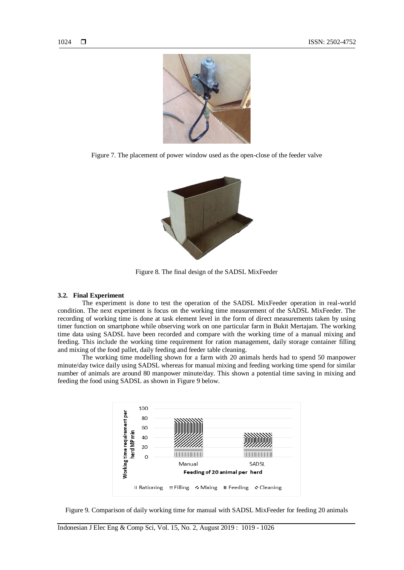

Figure 7. The placement of power window used as the open-close of the feeder valve



Figure 8. The final design of the SADSL MixFeeder

#### **3.2. Final Experiment**

The experiment is done to test the operation of the SADSL MixFeeder operation in real-world condition. The next experiment is focus on the working time measurement of the SADSL MixFeeder. The recording of working time is done at task element level in the form of direct measurements taken by using timer function on smartphone while observing work on one particular farm in Bukit Mertajam. The working time data using SADSL have been recorded and compare with the working time of a manual mixing and feeding. This include the working time requirement for ration management, daily storage container filling and mixing of the food pallet, daily feeding and feeder table cleaning.

The working time modelling shown for a farm with 20 animals herds had to spend 50 manpower minute/day twice daily using SADSL whereas for manual mixing and feeding working time spend for similar number of animals are around 80 manpower minute/day. This shown a potential time saving in mixing and feeding the food using SADSL as shown in Figure 9 below.



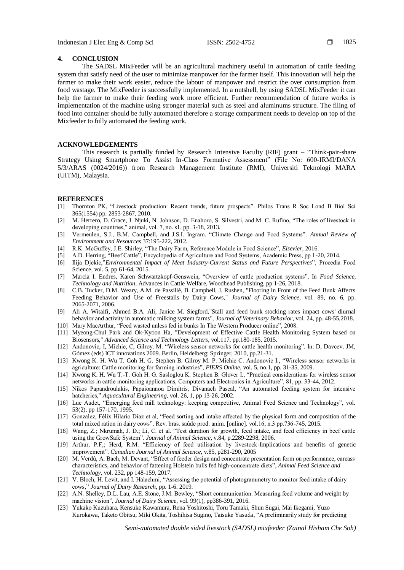#### **4. CONCLUSION**

The SADSL MixFeeder will be an agricultural machinery useful in automation of cattle feeding system that satisfy need of the user to minimize manpower for the farmer itself. This innovation will help the farmer to make their work easier, reduce the labour of manpower and restrict the over consumption from food wastage. The MixFeeder is successfully implemented. In a nutshell, by using SADSL MixFeeder it can help the farmer to make their feeding work more efficient. Further recommendation of future works is implementation of the machine using stronger material such as steel and aluminums structure. The filing of food into container should be fully automated therefore a storage compartment needs to develop on top of the Mixfeeder to fully automated the feeding work.

# **ACKNOWLEDGEMENTS**

This research is partially funded by Research Intensive Faculty (RIF) grant – "Think-pair-share Strategy Using Smartphone To Assist In-Class Formative Assessment" (File No: 600-IRMI/DANA 5/3/ARAS (0024/2016)) from Research Management Institute (RMI), Universiti Teknologi MARA (UITM), Malaysia.

# **REFERENCES**

- [1] Thornton PK, "Livestock production: Recent trends, future prospects". Philos Trans R Soc Lond B Biol Sci 365(1554) pp. 2853-2867, 2010.
- [2] M. Herrero, D. Grace, J. Njuki, N. Johnson, D. Enahoro, S. Silvestri, and M. C. Rufino, "The roles of livestock in developing countries," animal, vol. 7, no. s1, pp. 3-18, 2013.
- [3] Vermeulen, S.J., B.M. Campbell, and J.S.I. Ingram. "Climate Change and Food Systems". *Annual Review of Environment and Resources* 37:195-222, 2012.
- [4] R.K. McGuffey, J.E. Shirley, "The Dairy Farm, Reference Module in Food Science", *Elsevier*, 2016.
- [5] A.D. Herring, "Beef Cattle", Encyclopedia of Agriculture and Food Systems, Academic Press, pp 1-20, 2014.
- [6] Ilija Djekic,"*Environmental Impact of Meat Industry-Current Status and Future Perspectives*", Procedia Food Science, vol. 5, pp 61-64, 2015.
- [7] Marcia I. Endres, Karen Schwartzkopf-Genswein, "Overview of cattle production systems", In *Food Science, Technology and Nutrition*, Advances in Cattle Welfare, Woodhead Publishing, pp 1-26, 2018.
- [8] C.B. Tucker, D.M. Weary, A.M. de Passillé, B. Campbell, J. Rushen, "Flooring in Front of the Feed Bunk Affects Feeding Behavior and Use of Freestalls by Dairy Cows," *Journal of Dairy Science*, vol. 89, no. 6, pp. 2065-2071, 2006.
- [9] Ali A. Witaifi, Ahmed B.A. Ali, Janice M. Siegford,"Stall and feed bunk stocking rates impact cows' diurnal behavior and activity in automatic milking system farms", *Journal of Veterinary Behavior*, vol. 24, pp. 48-55,2018.
- [10] Mary MacArthur, "Feed wasted unless fed in bunks In The Western Producer online", 2008.
- [11] Myeong-Chul Park and Ok-Kyoon Ha, "Development of Effective Cattle Health Monitoring System based on Biosensors," *Advanced Science and Technology Letters*, vol.117, pp.180-185, 2015.
- [12] Andonovic, I, Michie, C, Gilroy, M. "Wireless sensor networks for cattle health monitoring". In: D, Davcev, JM, Gómez (eds) ICT innovations 2009. Berlin, Heidelberg: Springer, 2010, pp.21-31.
- [13] Kwong K. H. Wu T. Goh H. G. Stephen B. Gilroy M. P. Michie C. Andonovic I., "Wireless sensor networks in agriculture: Cattle monitoring for farming industries", *PIERS Online*, vol. 5, no.1, pp. 31-35, 2009.
- [14] Kwong K. H. Wu T.-T. Goh H. G. Sasloglou K. Stephen B. Glover I., "Practical considerations for wireless sensor networks in cattle monitoring applications, Computers and Electronics in Agriculture", 81, pp. 33-44, 2012.
- [15] Nikos Papandroulakis, Papaioannou Dimitris, Divanach Pascal, "An automated feeding system for intensive hatcheries," *Aquacultural Engineering*, vol. 26, 1, pp 13-26, 2002.
- [16] Luc Audet, "Emerging feed mill technology: keeping competitive, Animal Feed Science and Technology", vol. 53(2), pp 157-170, 1995.
- [17] Gonzalez, Félix Hilario Diaz et al, "Feed sorting and intake affected by the physical form and composition of the total mixed ration in dairy cows", Rev. bras. saúde prod. anim. [online]. vol.16, n.3 pp.736-745, 2015.
- [18] Wang, Z.; Nkrumah, J. D.; Li, C. et al. "Test duration for growth, feed intake, and feed efficiency in beef cattle using the GrowSafe System". *Journal of Animal Science*, v.84, p.2289-2298, 2006.
- [19] Arthur, P.F,; Herd, R.M. "Efficiency of feed utilisation by livestock-Implications and benefits of genetic improvement". *Canadian Journal of Animal Science*, v.85, p281-290, 2005
- [20] M. Verdú, A. Bach, M. Devant, "Effect of feeder design and concentrate presentation form on performance, carcass characteristics, and behavior of fattening Holstein bulls fed high-concentrate diets", *Animal Feed Science and Technology*, vol. 232, pp 148-159, 2017.
- [21] V. Bloch, H. Levit, and I. Halachmi, "Assessing the potential of photogrammetry to monitor feed intake of dairy cows," *Journal of Dairy Research*, pp. 1-6. 2019.
- [22] A.N. Shelley, D.L. Lau, A.E. Stone, J.M. Bewley, "Short communication: Measuring feed volume and weight by machine vision", *Journal of Dairy Science*, vol. 99(1), pp386-391, 2016.
- [23] Yukako Kuzuhara, Kensuke Kawamura, Rena Yoshitoshi, Toru Tamaki, Shun Sugai, Mai Ikegami, Yuzo Kurokawa, Taketo Obitsu, Miki Okita, Toshihisa Sugino, Taisuke Yasuda, "A preliminarily study for predicting